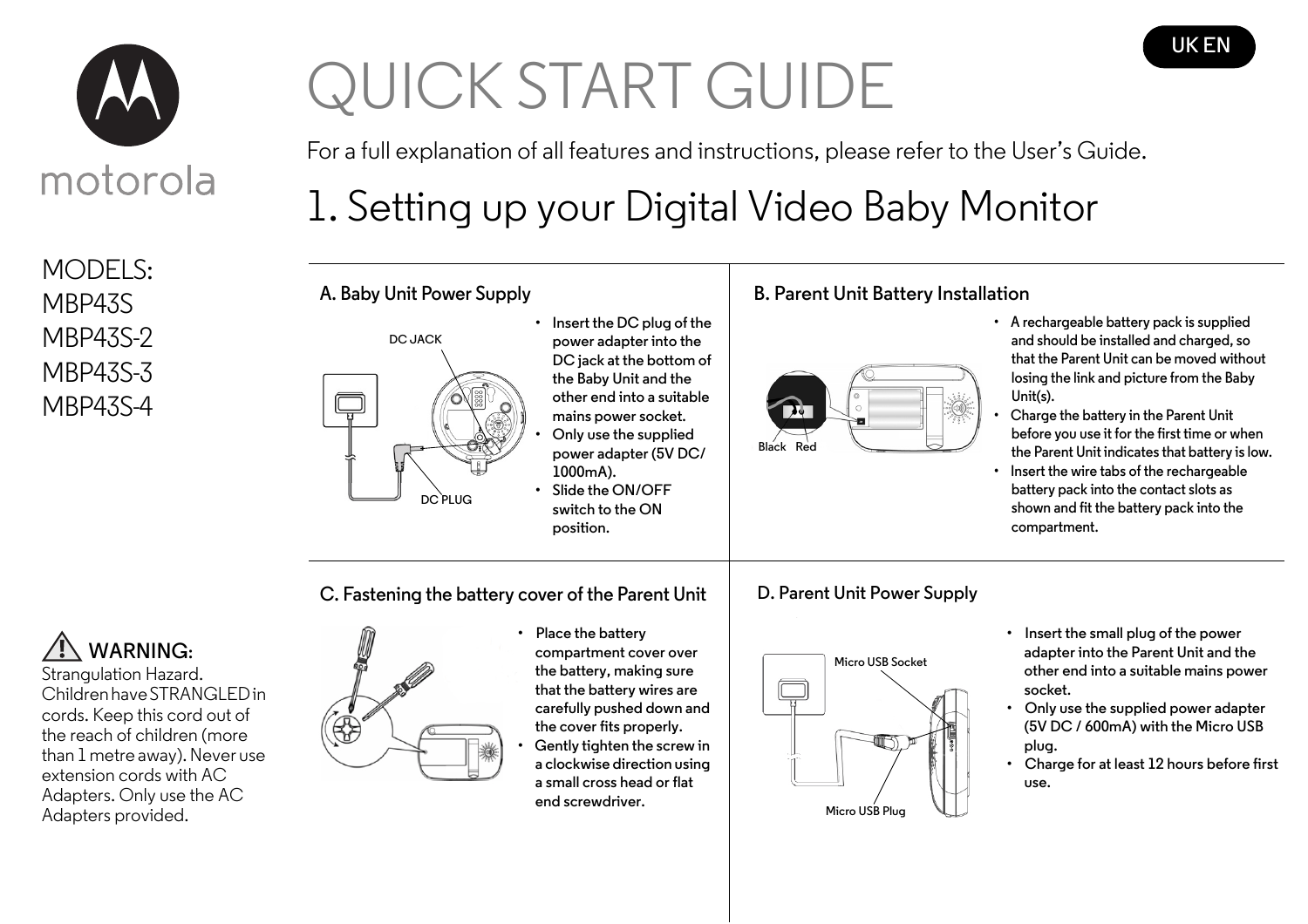

MODELS: MBP43S MBP43S-2 MBP43S-3 MBP43S-4

# QUICK START GUIDE

For a full explanation of all features and instructions, please refer to the User's Guide.

**UK EN**

# 1. Setting up your Digital Video Baby Monitor

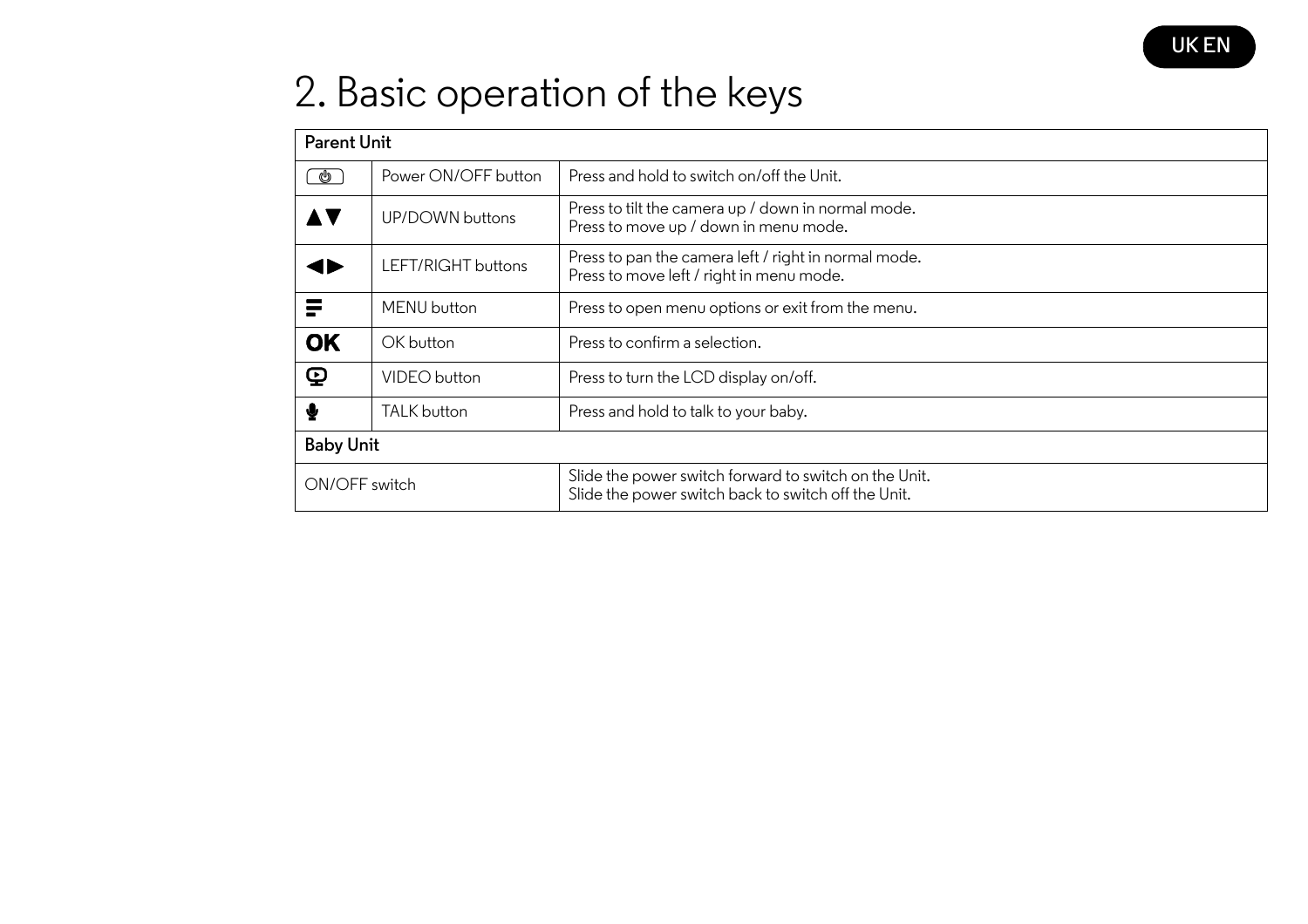

## 2. Basic operation of the keys

| <b>Parent Unit</b>             |                     |                                                                                                              |
|--------------------------------|---------------------|--------------------------------------------------------------------------------------------------------------|
| G                              | Power ON/OFF button | Press and hold to switch on/off the Unit.                                                                    |
|                                | UP/DOWN buttons     | Press to tilt the camera up / down in normal mode.<br>Press to move up / down in menu mode.                  |
|                                | LEFT/RIGHT buttons  | Press to pan the camera left / right in normal mode.<br>Press to move left / right in menu mode.             |
|                                | MENU button         | Press to open menu options or exit from the menu.                                                            |
| <b>OK</b>                      | OK button           | Press to confirm a selection.                                                                                |
| $\boldsymbol{\mathsf{\Omega}}$ | VIDEO button        | Press to turn the LCD display on/off.                                                                        |
| ∙                              | <b>TALK</b> button  | Press and hold to talk to your baby.                                                                         |
| <b>Baby Unit</b>               |                     |                                                                                                              |
| ON/OFF switch                  |                     | Slide the power switch forward to switch on the Unit.<br>Slide the power switch back to switch off the Unit. |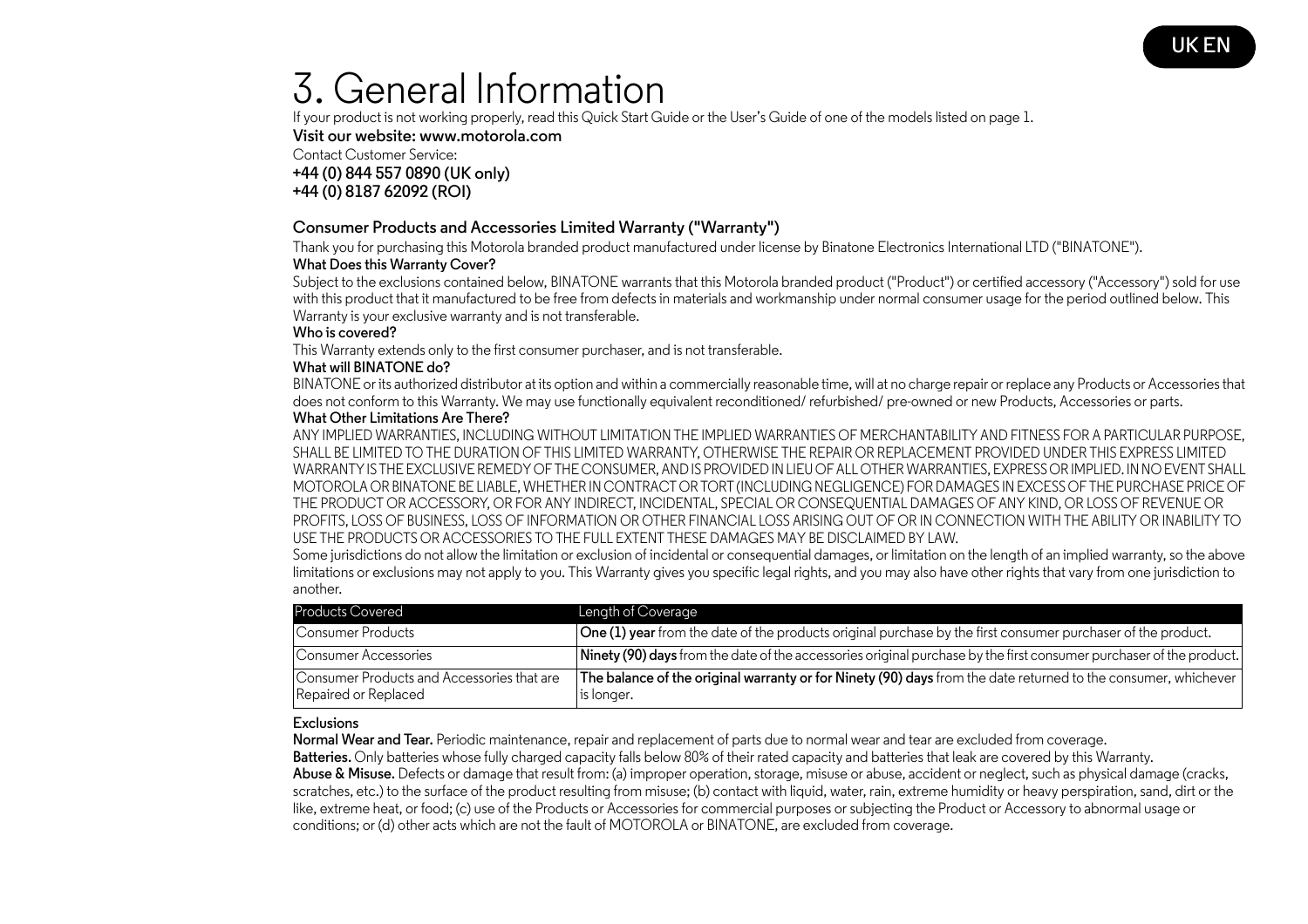### 3. General Information

If your product is not working properly, read this Quick Start Guide or the User's Guide of one of the models listed on page 1.

**Visit our website: www.motorola.com**

Contact Customer Service:

**+44 (0) 844 557 0890 (UK only) +44 (0) 8187 62092 (ROI)**

#### **Consumer Products and Accessories Limited Warranty ("Warranty")**

Thank you for purchasing this Motorola branded product manufactured under license by Binatone Electronics International LTD ("BINATONE").

#### **What Does this Warranty Cover?**

Subject to the exclusions contained below, BINATONE warrants that this Motorola branded product ("Product") or certified accessory ("Accessory") sold for use with this product that it manufactured to be free from defects in materials and workmanship under normal consumer usage for the period outlined below. This Warranty is your exclusive warranty and is not transferable.

#### **Who is covered?**

This Warranty extends only to the first consumer purchaser, and is not transferable.

#### **What will BINATONE do?**

BINATONE or its authorized distributor at its option and within a commercially reasonable time, will at no charge repair or replace any Products or Accessories that does not conform to this Warranty. We may use functionally equivalent reconditioned/ refurbished/ pre-owned or new Products, Accessories or parts.

#### **What Other Limitations Are There?**

ANY IMPLIED WARRANTIES, INCLUDING WITHOUT LIMITATION THE IMPLIED WARRANTIES OF MERCHANTABILITY AND FITNESS FOR A PARTICULAR PURPOSE, SHALL BE LIMITED TO THE DURATION OF THIS LIMITED WARRANTY, OTHERWISE THE REPAIR OR REPLACEMENT PROVIDED UNDER THIS EXPRESS LIMITED WARRANTY IS THE EXCLUSIVE REMEDY OF THE CONSUMER, AND IS PROVIDED IN LIEU OF ALL OTHER WARRANTIES, EXPRESS OR IMPLIED. IN NO EVENT SHALL MOTOROLA OR BINATONE BE LIABLE, WHETHER IN CONTRACT OR TORT (INCLUDING NEGLIGENCE) FOR DAMAGES IN EXCESS OF THE PURCHASE PRICE OF THE PRODUCT OR ACCESSORY, OR FOR ANY INDIRECT, INCIDENTAL, SPECIAL OR CONSEQUENTIAL DAMAGES OF ANY KIND, OR LOSS OF REVENUE OR PROFITS, LOSS OF BUSINESS, LOSS OF INFORMATION OR OTHER FINANCIAL LOSS ARISING OUT OF OR IN CONNECTION WITH THE ABILITY OR INABILITY TO USE THE PRODUCTS OR ACCESSORIES TO THE FULL EXTENT THESE DAMAGES MAY BE DISCLAIMED BY LAW.

Some jurisdictions do not allow the limitation or exclusion of incidental or consequential damages, or limitation on the length of an implied warranty, so the above limitations or exclusions may not apply to you. This Warranty gives you specific legal rights, and you may also have other rights that vary from one jurisdiction to another.

| <b>Products Covered</b>                                            | Length of Coverage                                                                                                           |
|--------------------------------------------------------------------|------------------------------------------------------------------------------------------------------------------------------|
| Consumer Products                                                  | One (1) year from the date of the products original purchase by the first consumer purchaser of the product.                 |
| Consumer Accessories                                               | Ninety (90) days from the date of the accessories original purchase by the first consumer purchaser of the product.          |
| Consumer Products and Accessories that are<br>Repaired or Replaced | The balance of the original warranty or for Ninety (90) days from the date returned to the consumer, whichever<br>is longer. |

#### **Exclusions**

**Normal Wear and Tear.** Periodic maintenance, repair and replacement of parts due to normal wear and tear are excluded from coverage.

**Batteries.** Only batteries whose fully charged capacity falls below 80% of their rated capacity and batteries that leak are covered by this Warranty. **Abuse & Misuse.** Defects or damage that result from: (a) improper operation, storage, misuse or abuse, accident or neglect, such as physical damage (cracks, scratches, etc.) to the surface of the product resulting from misuse; (b) contact with liquid, water, rain, extreme humidity or heavy perspiration, sand, dirt or the like, extreme heat, or food; (c) use of the Products or Accessories for commercial purposes or subjecting the Product or Accessory to abnormal usage or conditions; or (d) other acts which are not the fault of MOTOROLA or BINATONE, are excluded from coverage.